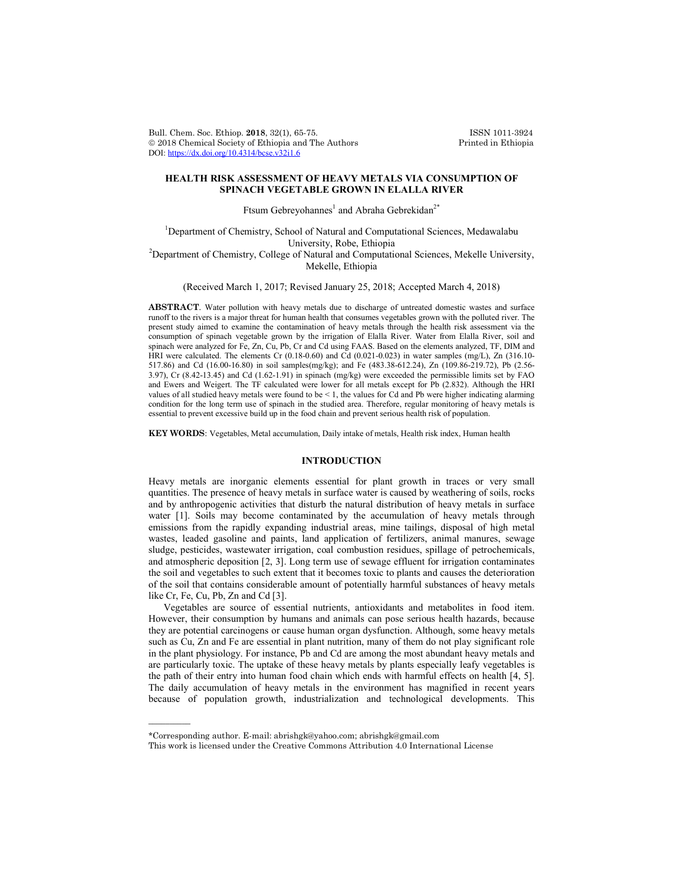Bull. Chem. Soc. Ethiop. 2018, 32(1), 65-75. **ISSN 1011-3924**<br>
© 2018 Chemical Society of Ethiopia and The Authors Printed in Ethiopia  $© 2018 Chemical Society of Ethiopia and The Authors$ DOI: https://dx.doi.org/10.4314/bcse.v32i1.6

# **HEALTH RISK ASSESSMENT OF HEAVY METALS VIA CONSUMPTION OF SPINACH VEGETABLE GROWN IN ELALLA RIVER**

Ftsum Gebreyohannes<sup>1</sup> and Abraha Gebrekidan<sup>2\*</sup>

<sup>1</sup>Department of Chemistry, School of Natural and Computational Sciences, Medawalabu

University, Robe, Ethiopia<br><sup>2</sup>Department of Chemistry, College of Natural and Computational Sciences, Mekelle University, Mekelle, Ethiopia

(Received March 1, 2017; Revised January 25, 2018; Accepted March 4, 2018)

**ABSTRACT**. Water pollution with heavy metals due to discharge of untreated domestic wastes and surface runoff to the rivers is a major threat for human health that consumes vegetables grown with the polluted river. The present study aimed to examine the contamination of heavy metals through the health risk assessment via the consumption of spinach vegetable grown by the irrigation of Elalla River. Water from Elalla River, soil and spinach were analyzed for Fe, Zn, Cu, Pb, Cr and Cd using FAAS. Based on the elements analyzed, TF, DIM and HRI were calculated. The elements Cr  $(0.18-0.60)$  and Cd  $(0.021-0.023)$  in water samples (mg/L), Zn  $(316.10-0.023)$ 517.86) and Cd (16.00-16.80) in soil samples(mg/kg); and Fe (483.38-612.24), Zn (109.86-219.72), Pb (2.56- 3.97), Cr (8.42-13.45) and Cd (1.62-1.91) in spinach (mg/kg) were exceeded the permissible limits set by FAO and Ewers and Weigert. The TF calculated were lower for all metals except for Pb (2.832). Although the HRI values of all studied heavy metals were found to be  $< 1$ , the values for Cd and Pb were higher indicating alarming condition for the long term use of spinach in the studied area. Therefore, regular monitoring of heavy metals is essential to prevent excessive build up in the food chain and prevent serious health risk of population.

**KEY WORDS**: Vegetables, Metal accumulation, Daily intake of metals, Health risk index, Human health

# **INTRODUCTION**

Heavy metals are inorganic elements essential for plant growth in traces or very small quantities. The presence of heavy metals in surface water is caused by weathering of soils, rocks and by anthropogenic activities that disturb the natural distribution of heavy metals in surface water [1]. Soils may become contaminated by the accumulation of heavy metals through emissions from the rapidly expanding industrial areas, mine tailings, disposal of high metal wastes, leaded gasoline and paints, land application of fertilizers, animal manures, sewage sludge, pesticides, wastewater irrigation, coal combustion residues, spillage of petrochemicals, and atmospheric deposition [2, 3]. Long term use of sewage effluent for irrigation contaminates the soil and vegetables to such extent that it becomes toxic to plants and causes the deterioration of the soil that contains considerable amount of potentially harmful substances of heavy metals like Cr, Fe, Cu, Pb, Zn and Cd [3].

Vegetables are source of essential nutrients, antioxidants and metabolites in food item. However, their consumption by humans and animals can pose serious health hazards, because they are potential carcinogens or cause human organ dysfunction. Although, some heavy metals such as Cu, Zn and Fe are essential in plant nutrition, many of them do not play significant role in the plant physiology. For instance, Pb and Cd are among the most abundant heavy metals and are particularly toxic. The uptake of these heavy metals by plants especially leafy vegetables is the path of their entry into human food chain which ends with harmful effects on health [4, 5]. The daily accumulation of heavy metals in the environment has magnified in recent years because of population growth, industrialization and technological developments. This

 $\overline{\phantom{a}}$ 

<sup>\*</sup>Corresponding author. E-mail: abrishgk@yahoo.com; abrishgk@gmail.com

This work is licensed under the Creative Commons Attribution 4.0 International License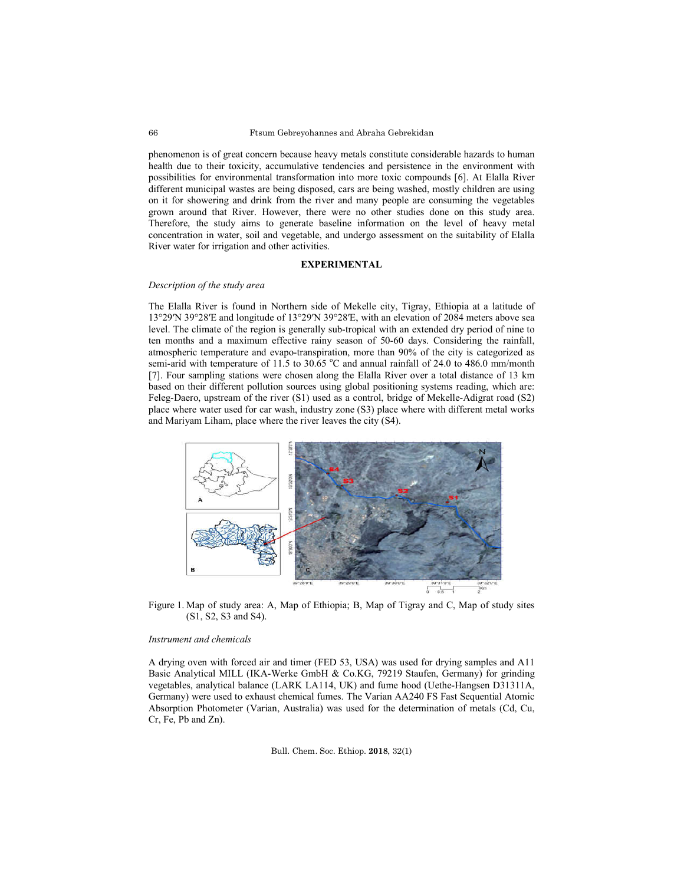#### Ftsum Gebreyohannes and Abraha Gebrekidan

phenomenon is of great concern because heavy metals constitute considerable hazards to human health due to their toxicity, accumulative tendencies and persistence in the environment with possibilities for environmental transformation into more toxic compounds [6]. At Elalla River different municipal wastes are being disposed, cars are being washed, mostly children are using on it for showering and drink from the river and many people are consuming the vegetables grown around that River. However, there were no other studies done on this study area. Therefore, the study aims to generate baseline information on the level of heavy metal concentration in water, soil and vegetable, and undergo assessment on the suitability of Elalla River water for irrigation and other activities.

# **EXPERIMENTAL**

#### *Description of the study area*

The Elalla River is found in Northern side of Mekelle city, Tigray, Ethiopia at a latitude of 13°29′N 39°28′E and longitude of 13°29′N 39°28′E, with an elevation of 2084 meters above sea level. The climate of the region is generally sub-tropical with an extended dry period of nine to ten months and a maximum effective rainy season of 50-60 days. Considering the rainfall, atmospheric temperature and evapo-transpiration, more than 90% of the city is categorized as semi-arid with temperature of 11.5 to 30.65  $^{\circ}$ C and annual rainfall of 24.0 to 486.0 mm/month [7]. Four sampling stations were chosen along the Elalla River over a total distance of 13 km based on their different pollution sources using global positioning systems reading, which are: Feleg-Daero, upstream of the river (S1) used as a control, bridge of Mekelle-Adigrat road (S2) place where water used for car wash, industry zone (S3) place where with different metal works and Mariyam Liham, place where the river leaves the city (S4).



Figure 1. Map of study area: A, Map of Ethiopia; B, Map of Tigray and C, Map of study sites (S1, S2, S3 and S4).

### *Instrument and chemicals*

A drying oven with forced air and timer (FED 53, USA) was used for drying samples and A11 Basic Analytical MILL (IKA-Werke GmbH & Co.KG, 79219 Staufen, Germany) for grinding vegetables, analytical balance (LARK LA114, UK) and fume hood (Uethe-Hangsen D31311A, Germany) were used to exhaust chemical fumes. The Varian AA240 FS Fast Sequential Atomic Absorption Photometer (Varian, Australia) was used for the determination of metals (Cd, Cu, Cr, Fe, Pb and Zn).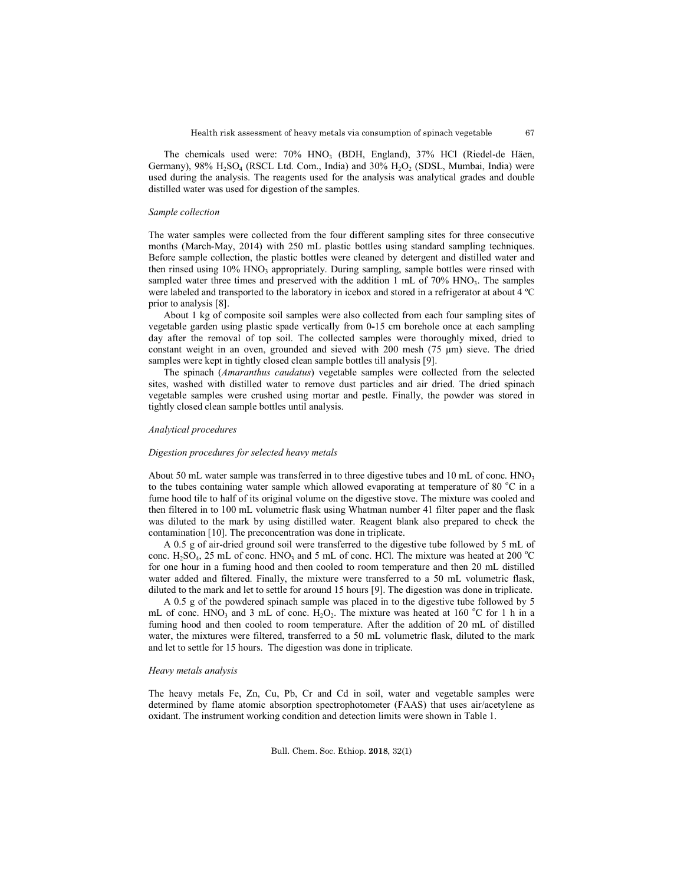The chemicals used were: 70% HNO<sub>3</sub> (BDH, England), 37% HCl (Riedel-de Häen, Germany),  $98\%$  H<sub>2</sub>SO<sub>4</sub> (RSCL Ltd. Com., India) and  $30\%$  H<sub>2</sub>O<sub>2</sub> (SDSL, Mumbai, India) were used during the analysis. The reagents used for the analysis was analytical grades and double distilled water was used for digestion of the samples.

#### *Sample collection*

The water samples were collected from the four different sampling sites for three consecutive months (March-May, 2014) with 250 mL plastic bottles using standard sampling techniques. Before sample collection, the plastic bottles were cleaned by detergent and distilled water and then rinsed using 10% HNO<sub>3</sub> appropriately. During sampling, sample bottles were rinsed with sampled water three times and preserved with the addition  $1 \text{ mL of } 70\% \text{ HNO}_3$ . The samples were labeled and transported to the laboratory in icebox and stored in a refrigerator at about 4 ºC prior to analysis [8].

About 1 kg of composite soil samples were also collected from each four sampling sites of vegetable garden using plastic spade vertically from 0**-**15 cm borehole once at each sampling day after the removal of top soil. The collected samples were thoroughly mixed, dried to constant weight in an oven, grounded and sieved with 200 mesh (75 μm) sieve. The dried samples were kept in tightly closed clean sample bottles till analysis [9].

The spinach (*Amaranthus caudatus*) vegetable samples were collected from the selected sites, washed with distilled water to remove dust particles and air dried. The dried spinach vegetable samples were crushed using mortar and pestle. Finally, the powder was stored in tightly closed clean sample bottles until analysis.

#### *Analytical procedures*

### *Digestion procedures for selected heavy metals*

About 50 mL water sample was transferred in to three digestive tubes and 10 mL of conc.  $HNO<sub>3</sub>$ to the tubes containing water sample which allowed evaporating at temperature of 80 °C in a fume hood tile to half of its original volume on the digestive stove. The mixture was cooled and then filtered in to 100 mL volumetric flask using Whatman number 41 filter paper and the flask was diluted to the mark by using distilled water. Reagent blank also prepared to check the contamination [10]. The preconcentration was done in triplicate.

A 0.5 g of air-dried ground soil were transferred to the digestive tube followed by 5 mL of conc.  $H_2SO_4$ , 25 mL of conc. HNO<sub>3</sub> and 5 mL of conc. HCl. The mixture was heated at 200 °C for one hour in a fuming hood and then cooled to room temperature and then 20 mL distilled water added and filtered. Finally, the mixture were transferred to a 50 mL volumetric flask, diluted to the mark and let to settle for around 15 hours [9]. The digestion was done in triplicate.

A 0.5 g of the powdered spinach sample was placed in to the digestive tube followed by 5 mL of conc. HNO<sub>3</sub> and 3 mL of conc. H<sub>2</sub>O<sub>2</sub>. The mixture was heated at 160 °C for 1 h in a fuming hood and then cooled to room temperature. After the addition of 20 mL of distilled water, the mixtures were filtered, transferred to a 50 mL volumetric flask, diluted to the mark and let to settle for 15 hours. The digestion was done in triplicate.

### *Heavy metals analysis*

The heavy metals Fe, Zn, Cu, Pb, Cr and Cd in soil, water and vegetable samples were determined by flame atomic absorption spectrophotometer (FAAS) that uses air/acetylene as oxidant. The instrument working condition and detection limits were shown in Table 1.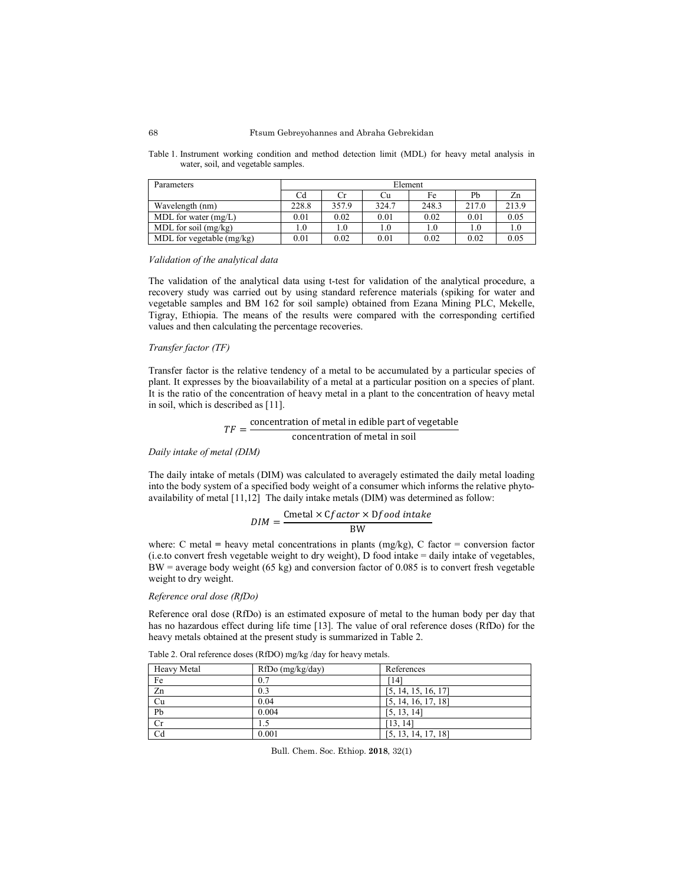### Ftsum Gebreyohannes and Abraha Gebrekidan

Table 1. Instrument working condition and method detection limit (MDL) for heavy metal analysis in water, soil, and vegetable samples.

| Parameters                | Element             |       |       |       |       |       |
|---------------------------|---------------------|-------|-------|-------|-------|-------|
|                           | Cd                  |       | Сu    | Fe    | Pb    | Zn    |
| Wavelength (nm)           | 228.8               | 357.9 | 324.7 | 248.3 | 217.0 | 213.9 |
| MDL for water $(mg/L)$    | 0.01                | 0.02  | 0.01  | 0.02  | 0.01  | 0.05  |
| MDL for soil $(mg/kg)$    | $\scriptstyle{0.1}$ | 1.0   | 1.0   |       | 1.0   | 1.0   |
| MDL for vegetable (mg/kg) | 0.01                | 0.02  | 0.01  | 0.02  | 0.02  | 0.05  |

*Validation of the analytical data* 

The validation of the analytical data using t-test for validation of the analytical procedure, a recovery study was carried out by using standard reference materials (spiking for water and vegetable samples and BM 162 for soil sample) obtained from Ezana Mining PLC, Mekelle, Tigray, Ethiopia. The means of the results were compared with the corresponding certified values and then calculating the percentage recoveries.

### *Transfer factor (TF)*

Transfer factor is the relative tendency of a metal to be accumulated by a particular species of plant. It expresses by the bioavailability of a metal at a particular position on a species of plant. It is the ratio of the concentration of heavy metal in a plant to the concentration of heavy metal in soil, which is described as [11].

> $TF =$  concentration of metal in edible part of vegetable concentration of metal in soil

*Daily intake of metal (DIM)*

The daily intake of metals (DIM) was calculated to averagely estimated the daily metal loading into the body system of a specified body weight of a consumer which informs the relative phytoavailability of metal [11,12] The daily intake metals (DIM) was determined as follow:

$$
DIM = \frac{Cmetal \times Cfactor \times Dfood\ intake}{BW}
$$

where: C metal **=** heavy metal concentrations in plants (mg/kg), C factor = conversion factor (i.e.to convert fresh vegetable weight to dry weight), D food intake = daily intake of vegetables, BW = average body weight (65 kg) and conversion factor of 0.085 is to convert fresh vegetable weight to dry weight.

# *Reference oral dose (RfDo)*

Reference oral dose (RfDo) is an estimated exposure of metal to the human body per day that has no hazardous effect during life time [13]. The value of oral reference doses (RfDo) for the heavy metals obtained at the present study is summarized in Table 2.

| Heavy Metal | RfDo(mg/kg/day) | References          |
|-------------|-----------------|---------------------|
| Fe          | 0.7             | [14]                |
| Zn          | 0.3             | [5, 14, 15, 16, 17] |
| Cu          | 0.04            | [5, 14, 16, 17, 18] |
| Pb          | 0.004           | [5, 13, 14]         |
| Cr          |                 | 13, 14              |
| Cd          | 0.001           | [5, 13, 14, 17, 18] |

Table 2. Oral reference doses (RfDO) mg/kg /day for heavy metals.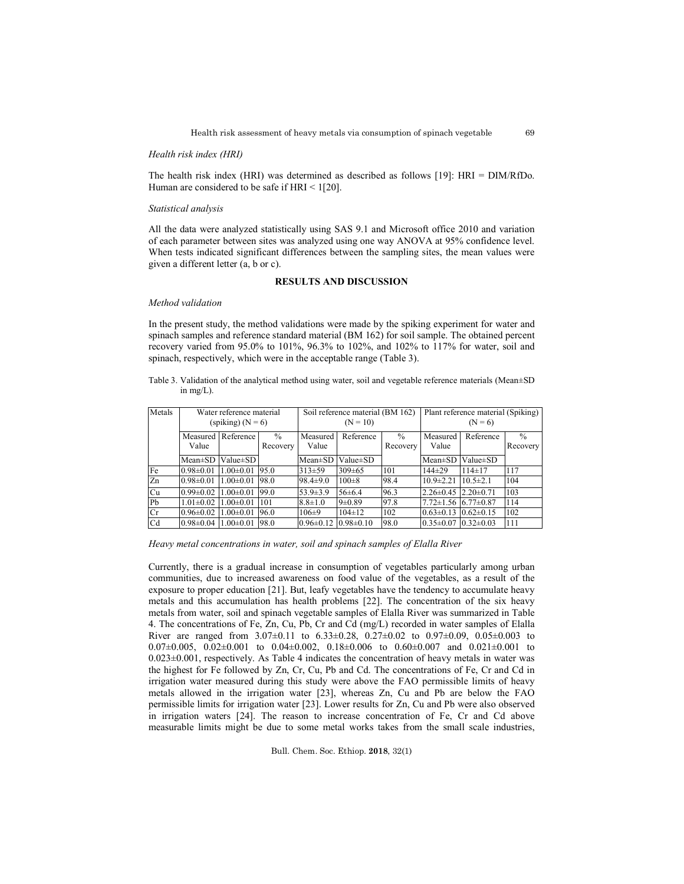69

### *Health risk index (HRI)*

The health risk index (HRI) was determined as described as follows [19]: HRI = DIM/RfDo. Human are considered to be safe if HRI < 1[20].

#### *Statistical analysis*

All the data were analyzed statistically using SAS 9.1 and Microsoft office 2010 and variation of each parameter between sites was analyzed using one way ANOVA at 95% confidence level. When tests indicated significant differences between the sampling sites, the mean values were given a different letter (a, b or c).

# **RESULTS AND DISCUSSION**

### *Method validation*

In the present study, the method validations were made by the spiking experiment for water and spinach samples and reference standard material (BM 162) for soil sample. The obtained percent recovery varied from 95.0% to 101%, 96.3% to 102%, and 102% to 117% for water, soil and spinach, respectively, which were in the acceptable range (Table 3).

Table 3. Validation of the analytical method using water, soil and vegetable reference materials (Mean±SD in mg/L).

| Metals | Water reference material      |                      |          | Soil reference material (BM 162) |                 |          | Plant reference material (Spiking) |                 |          |
|--------|-------------------------------|----------------------|----------|----------------------------------|-----------------|----------|------------------------------------|-----------------|----------|
|        | (spiking) $(N = 6)$           |                      |          | $(N = 10)$                       |                 |          | $(N = 6)$                          |                 |          |
|        | $\%$<br>Reference<br>Measured |                      | Measured | Reference                        | $\frac{0}{0}$   | Measured | Reference                          | $\frac{0}{0}$   |          |
|        | Value                         |                      | Recovery | Value                            |                 | Recovery | Value                              |                 | Recovery |
|        | $Mean \pm SD$                 | $Value \pm SD$       |          | $Mean \pm SD$                    | $Value \pm SD$  |          | $Mean \pm SD$                      | $Value \pm SD$  |          |
| Fe     | $0.98 \pm 0.01$               | $1.00 \pm 0.01$ 95.0 |          | $313+59$                         | $309 \pm 65$    | 101      | $144\pm 29$                        | $114 \pm 17$    | 117      |
| Zn     | $0.98 \pm 0.01$               | $1.00 \pm 0.01$ 98.0 |          | $98.4 \pm 9.0$                   | $100 \pm 8$     | 98.4     | $10.9 \pm 2.21$                    | $10.5 \pm 2.1$  | 104      |
| Cu     | $0.99 \pm 0.02$               | $1.00 \pm 0.01$      | 99.0     | $53.9 \pm 3.9$                   | $56 \pm 6.4$    | 96.3     | $2.26 \pm 0.45$                    | $2.20 \pm 0.71$ | 103      |
| Pb     | $1.01 \pm 0.02$               | $1.00 \pm 0.01$      | 1101     | $8.8 \pm 1.0$                    | $9+0.89$        | 97.8     | $7.72 \pm 1.56$                    | $6.77 \pm 0.87$ | 114      |
| Cr     | $0.96 \pm 0.02$               | $1.00 \pm 0.01$      | 96.0     | $106 + 9$                        | $104 \pm 12$    | 102      | $0.63 \pm 0.13$                    | $0.62 \pm 0.15$ | 102      |
| Cd     | $0.98 \pm 0.04$               | $1.00 \pm 0.01$      | 98.0     | $0.96 \pm 0.12$                  | $0.98 \pm 0.10$ | 98.0     | $0.35 \pm 0.07$                    | $0.32 \pm 0.03$ | 111      |

#### *Heavy metal concentrations in water, soil and spinach samples of Elalla River*

Currently, there is a gradual increase in consumption of vegetables particularly among urban communities, due to increased awareness on food value of the vegetables, as a result of the exposure to proper education [21]. But, leafy vegetables have the tendency to accumulate heavy metals and this accumulation has health problems [22]. The concentration of the six heavy metals from water, soil and spinach vegetable samples of Elalla River was summarized in Table 4. The concentrations of Fe, Zn, Cu, Pb, Cr and Cd (mg/L) recorded in water samples of Elalla River are ranged from  $3.07\pm0.11$  to  $6.33\pm0.28$ ,  $0.27\pm0.02$  to  $0.97\pm0.09$ ,  $0.05\pm0.003$  to 0.07 $\pm$ 0.005, 0.02 $\pm$ 0.001 to 0.04 $\pm$ 0.002, 0.18 $\pm$ 0.006 to 0.60 $\pm$ 0.007 and 0.021 $\pm$ 0.001 to 0.023±0.001, respectively. As Table 4 indicates the concentration of heavy metals in water was the highest for Fe followed by Zn, Cr, Cu, Pb and Cd. The concentrations of Fe, Cr and Cd in irrigation water measured during this study were above the FAO permissible limits of heavy metals allowed in the irrigation water [23], whereas Zn, Cu and Pb are below the FAO permissible limits for irrigation water [23]. Lower results for Zn, Cu and Pb were also observed in irrigation waters [24]. The reason to increase concentration of Fe, Cr and Cd above measurable limits might be due to some metal works takes from the small scale industries,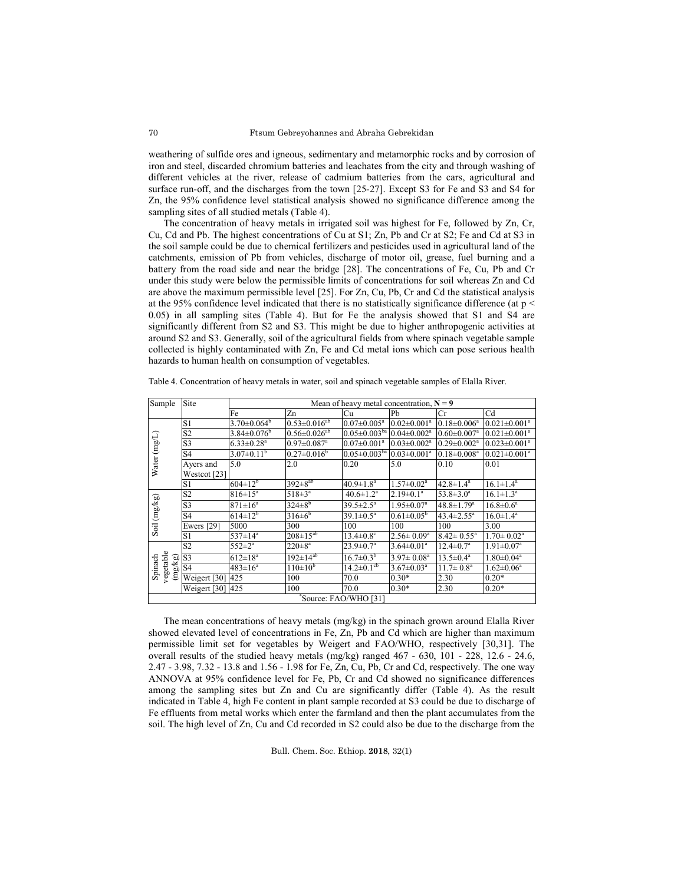weathering of sulfide ores and igneous, sedimentary and metamorphic rocks and by corrosion of iron and steel, discarded chromium batteries and leachates from the city and through washing of different vehicles at the river, release of cadmium batteries from the cars, agricultural and surface run-off, and the discharges from the town [25-27]. Except S3 for Fe and S3 and S4 for Zn, the 95% confidence level statistical analysis showed no significance difference among the sampling sites of all studied metals (Table 4).

The concentration of heavy metals in irrigated soil was highest for Fe, followed by Zn, Cr, Cu, Cd and Pb. The highest concentrations of Cu at S1; Zn, Pb and Cr at S2; Fe and Cd at S3 in the soil sample could be due to chemical fertilizers and pesticides used in agricultural land of the catchments, emission of Pb from vehicles, discharge of motor oil, grease, fuel burning and a battery from the road side and near the bridge [28]. The concentrations of Fe, Cu, Pb and Cr under this study were below the permissible limits of concentrations for soil whereas Zn and Cd are above the maximum permissible level [25]. For Zn, Cu, Pb, Cr and Cd the statistical analysis at the 95% confidence level indicated that there is no statistically significance difference (at  $p \le$ 0.05) in all sampling sites (Table 4). But for Fe the analysis showed that S1 and S4 are significantly different from S2 and S3. This might be due to higher anthropogenic activities at around S2 and S3. Generally, soil of the agricultural fields from where spinach vegetable sample collected is highly contaminated with Zn, Fe and Cd metal ions which can pose serious health hazards to human health on consumption of vegetables.

| Sample                                                                                                                                                                                                                                                                                                                                                                                                                                                                                                              | Site             | Mean of heavy metal concentration, $N = 9$ |                                |                                |                               |                               |                                |  |
|---------------------------------------------------------------------------------------------------------------------------------------------------------------------------------------------------------------------------------------------------------------------------------------------------------------------------------------------------------------------------------------------------------------------------------------------------------------------------------------------------------------------|------------------|--------------------------------------------|--------------------------------|--------------------------------|-------------------------------|-------------------------------|--------------------------------|--|
|                                                                                                                                                                                                                                                                                                                                                                                                                                                                                                                     |                  | Fe                                         | Zn                             | Cu                             | Pb                            | Cr                            | Cd                             |  |
|                                                                                                                                                                                                                                                                                                                                                                                                                                                                                                                     | S1               | $3.70 \pm 0.064^b$                         | $0.53 \pm 0.016^{ab}$          | $0.07 \pm 0.005^a$             | $0.02 \pm 0.001^a$            | $0.18 \pm 0.006^a$            | $0.021 \pm 0.001^a$            |  |
|                                                                                                                                                                                                                                                                                                                                                                                                                                                                                                                     | S <sub>2</sub>   | $3.84 \pm 0.076^b$                         | $0.56 \pm 0.026$ <sup>ab</sup> | $0.05 \pm 0.003^{ba}$          | $0.04 \pm 0.002$ <sup>a</sup> | $0.60 \pm 0.007$ <sup>a</sup> | $0.021 \pm 0.001^a$            |  |
|                                                                                                                                                                                                                                                                                                                                                                                                                                                                                                                     | S3               | $6.33 \pm 0.28$ <sup>a</sup>               | $0.97 \pm 0.087$ <sup>a</sup>  | $0.07 \pm 0.001^a$             | $0.03 \pm 0.002$ <sup>a</sup> | $0.29 \pm 0.002^a$            | $0.023 \pm 0.001^a$            |  |
| Water (mg/L)                                                                                                                                                                                                                                                                                                                                                                                                                                                                                                        | $\overline{S4}$  | $3.07 \pm 0.11^b$                          | $0.27 \pm 0.016^b$             | $0.05 \pm 0.003$ <sup>ba</sup> | $0.03 \pm 0.001^a$            | $0.18 \pm 0.008^a$            | $0.021 \pm 0.001$ <sup>a</sup> |  |
|                                                                                                                                                                                                                                                                                                                                                                                                                                                                                                                     | Ayers and        | 5.0                                        | 2.0                            | 0.20                           | 5.0                           | 0.10                          | 0.01                           |  |
|                                                                                                                                                                                                                                                                                                                                                                                                                                                                                                                     | Westcot [23]     |                                            |                                |                                |                               |                               |                                |  |
|                                                                                                                                                                                                                                                                                                                                                                                                                                                                                                                     | S1               | $604 \pm 12^{b}$                           | $392 \pm 8^{ab}$               | $40.9 \pm 1.8^{\text{a}}$      | $1.57 \pm 0.02^a$             | $42.8 \pm 1.4^a$              | $16.1 \pm 1.4^a$               |  |
|                                                                                                                                                                                                                                                                                                                                                                                                                                                                                                                     | S <sub>2</sub>   | $816 \pm 15^{\circ}$                       | $518 \pm 3^a$                  | $40.6 \pm 1.2^a$               | $2.19 \pm 0.1^a$              | $53.8 \pm 3.0^a$              | $16.1 \pm 1.3^a$               |  |
|                                                                                                                                                                                                                                                                                                                                                                                                                                                                                                                     | S <sub>3</sub>   | $871 \pm 16^a$                             | $324\pm8^{6}$                  | $39.5 \pm 2.5^{\text{a}}$      | $1.95 \pm 0.07^a$             | $48.8 \pm 1.79$ <sup>a</sup>  | $16.8 \pm 0.6^a$               |  |
| (mg/kg)<br>Soil                                                                                                                                                                                                                                                                                                                                                                                                                                                                                                     | S <sub>4</sub>   | $614 \pm 12^{b}$                           | $316 \pm 6^b$                  | $39.1 \pm 0.5^a$               | $0.61 \pm 0.05^b$             | $43.4 \pm 2.55^{\circ}$       | $16.0 \pm 1.4^a$               |  |
|                                                                                                                                                                                                                                                                                                                                                                                                                                                                                                                     | Ewers [29]       | 5000                                       | 300                            | 100                            | 100                           | 100                           | 3.00                           |  |
|                                                                                                                                                                                                                                                                                                                                                                                                                                                                                                                     | S1               | $537 \pm 14^a$                             | $208 \pm 15^{ab}$              | $13.4 \pm 0.8$ °               | $2.56 \pm 0.09^{\circ}$       | $8.42 \pm 0.55^{\circ}$       | $1.70 \pm 0.02^a$              |  |
|                                                                                                                                                                                                                                                                                                                                                                                                                                                                                                                     | S <sub>2</sub>   | $552 \pm 2^{\rm a}$                        | $220 \pm 8^a$                  | $23.9 \pm 0.7^{\circ}$         | $3.64 \pm 0.01^a$             | $12.4 \pm 0.7^a$              | $1.91 \pm 0.07$ <sup>a</sup>   |  |
|                                                                                                                                                                                                                                                                                                                                                                                                                                                                                                                     |                  | $612 \pm 18^a$                             | $192 \pm 14^{\overline{ab}}$   | $16.7 \pm 0.3^b$               | $3.97 \pm 0.08^a$             | $13.5 \pm 0.4^a$              | $1.80 \pm 0.04$ <sup>a</sup>   |  |
| vegetable<br>Spinach<br>$\begin{array}{c}\n\widehat{g} \\ \widehat{g} \\ \widehat{g} \\ \widehat{g} \\ \widehat{g} \\ \widehat{g} \\ \widehat{g} \\ \widehat{g} \\ \widehat{g} \\ \widehat{g} \\ \widehat{g} \\ \widehat{g} \\ \widehat{g} \\ \widehat{g} \\ \widehat{g} \\ \widehat{g} \\ \widehat{g} \\ \widehat{g} \\ \widehat{g} \\ \widehat{g} \\ \widehat{g} \\ \widehat{g} \\ \widehat{g} \\ \widehat{g} \\ \widehat{g} \\ \widehat{g} \\ \widehat{g} \\ \widehat{g} \\ \widehat{g} \\ \widehat{g} \\ \wide$ |                  | $483 \pm 16^a$                             | $110\pm10^{b}$                 | $14.2 \pm 0.1$ <sup>cb</sup>   | $3.67 \pm 0.03^{\text{a}}$    | $11.7 \pm 0.8^{\text{a}}$     | $1.62 \pm 0.06^a$              |  |
|                                                                                                                                                                                                                                                                                                                                                                                                                                                                                                                     | Weigert [30]     | 425                                        | 100                            | 70.0                           | $0.30*$                       | 2.30                          | $0.20*$                        |  |
|                                                                                                                                                                                                                                                                                                                                                                                                                                                                                                                     | Weigert [30] 425 |                                            | 100                            | 70.0                           | $0.30*$                       | 2.30                          | $0.20*$                        |  |
| Source: FAO/WHO [31]                                                                                                                                                                                                                                                                                                                                                                                                                                                                                                |                  |                                            |                                |                                |                               |                               |                                |  |

Table 4. Concentration of heavy metals in water, soil and spinach vegetable samples of Elalla River.

The mean concentrations of heavy metals (mg/kg) in the spinach grown around Elalla River showed elevated level of concentrations in Fe, Zn, Pb and Cd which are higher than maximum permissible limit set for vegetables by Weigert and FAO/WHO, respectively [30,31]. The overall results of the studied heavy metals (mg/kg) ranged 467 - 630, 101 - 228, 12.6 - 24.6, 2.47 - 3.98, 7.32 - 13.8 and 1.56 - 1.98 for Fe, Zn, Cu, Pb, Cr and Cd, respectively. The one way ANNOVA at 95% confidence level for Fe, Pb, Cr and Cd showed no significance differences among the sampling sites but Zn and Cu are significantly differ (Table 4). As the result indicated in Table 4, high Fe content in plant sample recorded at S3 could be due to discharge of Fe effluents from metal works which enter the farmland and then the plant accumulates from the soil. The high level of Zn, Cu and Cd recorded in S2 could also be due to the discharge from the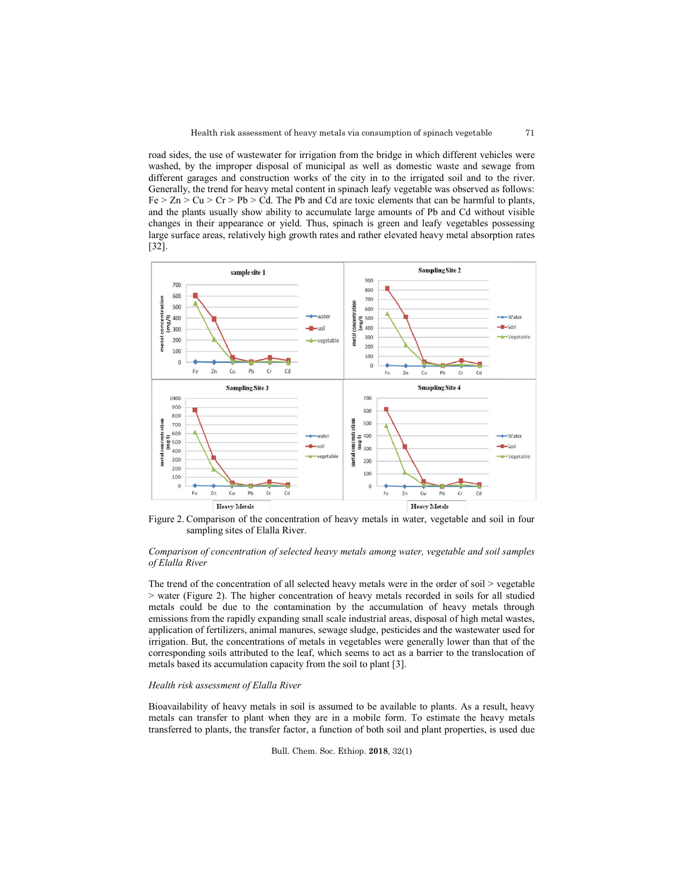71

road sides, the use of wastewater for irrigation from the bridge in which different vehicles were washed, by the improper disposal of municipal as well as domestic waste and sewage from different garages and construction works of the city in to the irrigated soil and to the riv Generally, the trend for heavy metal content in spinach leafy vegetable was observed as follows:  $Fe > Zn > Cu > Cr > Pb > Cd$ . The Pb and Cd are toxic elements that can be harmful to plants, and the plants usually show ability to accumulate large amounts of Pb and Cd without visible changes in their appearance or yield. Thus, spinach is green and leafy vegetables possessing large surface areas, relatively high growth rates and rather elevated heavy metal absorption rates [32]. washed, by the improper disposal of municipal as well as domestic waste and sewage from different garages and construction works of the city in to the irrigated soil and to the river. Generally, the trend for heavy metal is, the use of wastewater for irrigation from the bridge in which different vehicles were by the improper disposal of municipal as well as domestic waste and sewage from garages and construction works of the city in to the



Figure 2. Comparison of the concentration of heavy metals in water, vegetable and soil in four sampling sites of Elalla River.

### *Comparison of concentration of selected heavy metals among water, vegetable and soil samples of Elalla River*

The trend of the concentration of all selected heavy metals were in the order of soil > vegetable > water (Figure 2). The higher concentration of heavy metals recorded in soils for all studied metals could be due to the contamination by the accumulation of heavy metals through emissions from the rapidly expanding small scale industrial areas, disposal of high metal wastes, application of fertilizers, animal manures, sewage sludge, pesticides and the wastewater used for irrigation. But, the concentrations of metals in vegetables were generally lower than that of the corresponding soils attributed to the leaf, which seems to act as a barrier to the translocation of metals based its accumulation capacity from the soil to plant [3]. concentration of all selected heavy metals were in the order of soi<br>2). The higher concentration of heavy metals recorded in soils for<br>the rapidly expanding small scale industrial areas, disposal of high<br>tilizers, animal

## *Health risk assessment of Elalla River*

Bioavailability of heavy metals in soil is assumed to be available to plants. As a result, heavy metals can transfer to plant when they are in a mobile form. To estimate the heavy metals the transferred to plants, the transferred to the leaf, which seems to act as a barrier to the translocation of metals based its accumulation capacity from the soil to plant [3].<br>Health risk assessment of Elalla River<br>Bioa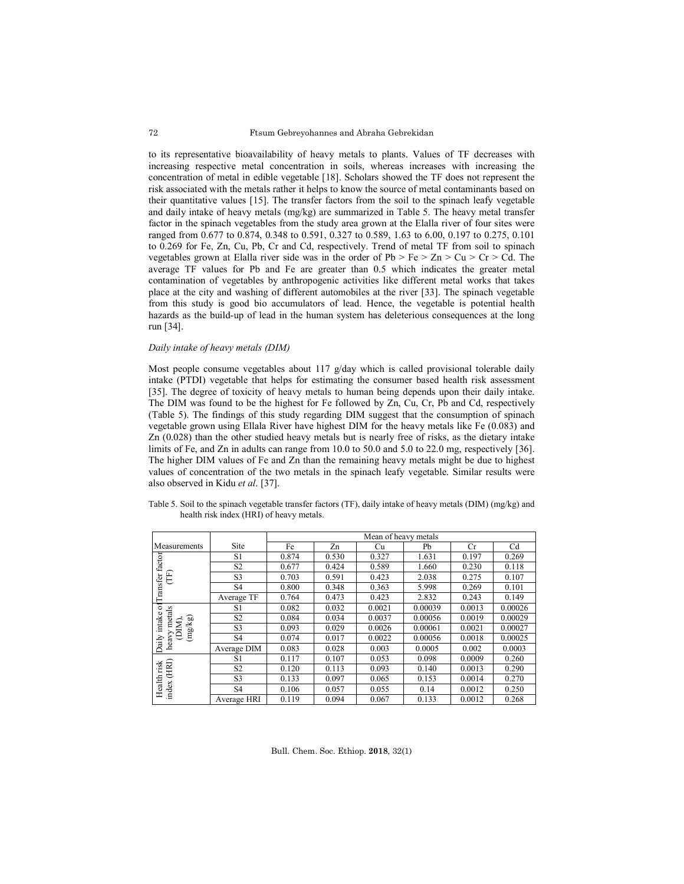to its representative bioavailability of heavy metals to plants. Values of TF decreases with increasing respective metal concentration in soils, whereas increases with increasing the concentration of metal in edible vegetable [18]. Scholars showed the TF does not represent the risk associated with the metals rather it helps to know the source of metal contaminants based on their quantitative values [15]. The transfer factors from the soil to the spinach leafy vegetable and daily intake of heavy metals (mg/kg) are summarized in Table 5. The heavy metal transfer factor in the spinach vegetables from the study area grown at the Elalla river of four sites were ranged from 0.677 to 0.874, 0.348 to 0.591, 0.327 to 0.589, 1.63 to 6.00, 0.197 to 0.275, 0.101 to 0.269 for Fe, Zn, Cu, Pb, Cr and Cd, respectively. Trend of metal TF from soil to spinach vegetables grown at Elalla river side was in the order of  $Pb > Fe > Zn > Cu > Cr > Cd$ . The average TF values for Pb and Fe are greater than 0.5 which indicates the greater metal contamination of vegetables by anthropogenic activities like different metal works that takes place at the city and washing of different automobiles at the river [33]. The spinach vegetable from this study is good bio accumulators of lead. Hence, the vegetable is potential health hazards as the build-up of lead in the human system has deleterious consequences at the long run [34].

#### *Daily intake of heavy metals (DIM)*

Most people consume vegetables about 117  $g/day$  which is called provisional tolerable daily intake (PTDI) vegetable that helps for estimating the consumer based health risk assessment [35]. The degree of toxicity of heavy metals to human being depends upon their daily intake. The DIM was found to be the highest for Fe followed by Zn, Cu, Cr, Pb and Cd, respectively (Table 5). The findings of this study regarding DIM suggest that the consumption of spinach vegetable grown using Ellala River have highest DIM for the heavy metals like Fe (0.083) and Zn (0.028) than the other studied heavy metals but is nearly free of risks, as the dietary intake limits of Fe, and Zn in adults can range from 10.0 to 50.0 and 5.0 to 22.0 mg, respectively [36]. The higher DIM values of Fe and Zn than the remaining heavy metals might be due to highest values of concentration of the two metals in the spinach leafy vegetable. Similar results were also observed in Kidu *et al*. [37].

| Table 5. Soil to the spinach vegetable transfer factors (TF), daily intake of heavy metals (DIM) (mg/kg) and |  |
|--------------------------------------------------------------------------------------------------------------|--|
| health risk index (HRI) of heavy metals.                                                                     |  |

|                                                             |                | Mean of heavy metals |       |        |         |           |                |  |
|-------------------------------------------------------------|----------------|----------------------|-------|--------|---------|-----------|----------------|--|
| Measurements                                                | Site           | Fe                   | Zn    | Cu     | Pb      | <b>Cr</b> | C <sub>d</sub> |  |
| factor                                                      | S1             | 0.874                | 0.530 | 0.327  | 1.631   | 0.197     | 0.269          |  |
|                                                             | S <sub>2</sub> | 0.677                | 0.424 | 0.589  | 1.660   | 0.230     | 0.118          |  |
| (F)                                                         | S3             | 0.703                | 0.591 | 0.423  | 2.038   | 0.275     | 0.107          |  |
| Transfer                                                    | S <sub>4</sub> | 0.800                | 0.348 | 0.363  | 5.998   | 0.269     | 0.101          |  |
|                                                             | Average TF     | 0.764                | 0.473 | 0.423  | 2.832   | 0.243     | 0.149          |  |
| đ<br>metals<br>intake<br>(mg/kg)<br>(DIM)<br>heavy<br>Daily | S1             | 0.082                | 0.032 | 0.0021 | 0.00039 | 0.0013    | 0.00026        |  |
|                                                             | S <sub>2</sub> | 0.084                | 0.034 | 0.0037 | 0.00056 | 0.0019    | 0.00029        |  |
|                                                             | S <sub>3</sub> | 0.093                | 0.029 | 0.0026 | 0.00061 | 0.0021    | 0.00027        |  |
|                                                             | S <sub>4</sub> | 0.074                | 0.017 | 0.0022 | 0.00056 | 0.0018    | 0.00025        |  |
|                                                             | Average DIM    | 0.083                | 0.028 | 0.003  | 0.0005  | 0.002     | 0.0003         |  |
| (HRI)<br>risk                                               | S1             | 0.117                | 0.107 | 0.053  | 0.098   | 0.0009    | 0.260          |  |
|                                                             | S <sub>2</sub> | 0.120                | 0.113 | 0.093  | 0.140   | 0.0013    | 0.290          |  |
|                                                             | S <sub>3</sub> | 0.133                | 0.097 | 0.065  | 0.153   | 0.0014    | 0.270          |  |
| Health<br>index                                             | S <sub>4</sub> | 0.106                | 0.057 | 0.055  | 0.14    | 0.0012    | 0.250          |  |
|                                                             | Average HRI    | 0.119                | 0.094 | 0.067  | 0.133   | 0.0012    | 0.268          |  |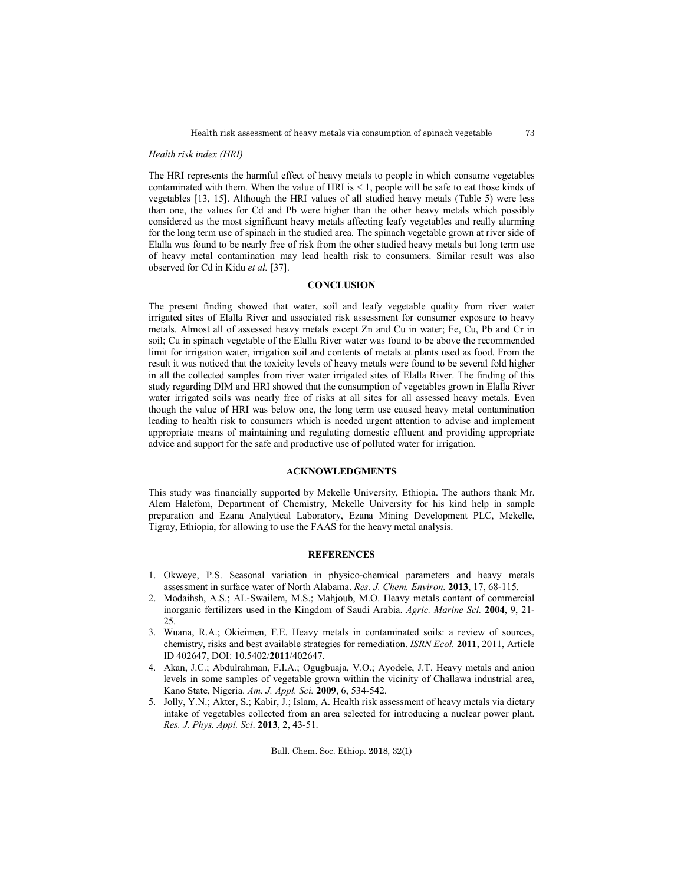#### *Health risk index (HRI)*

The HRI represents the harmful effect of heavy metals to people in which consume vegetables contaminated with them. When the value of HRI is  $\leq$  1, people will be safe to eat those kinds of vegetables [13, 15]. Although the HRI values of all studied heavy metals (Table 5) were less than one, the values for Cd and Pb were higher than the other heavy metals which possibly considered as the most significant heavy metals affecting leafy vegetables and really alarming for the long term use of spinach in the studied area. The spinach vegetable grown at river side of Elalla was found to be nearly free of risk from the other studied heavy metals but long term use of heavy metal contamination may lead health risk to consumers. Similar result was also observed for Cd in Kidu *et al.* [37].

### **CONCLUSION**

The present finding showed that water, soil and leafy vegetable quality from river water irrigated sites of Elalla River and associated risk assessment for consumer exposure to heavy metals. Almost all of assessed heavy metals except Zn and Cu in water; Fe, Cu, Pb and Cr in soil; Cu in spinach vegetable of the Elalla River water was found to be above the recommended limit for irrigation water, irrigation soil and contents of metals at plants used as food. From the result it was noticed that the toxicity levels of heavy metals were found to be several fold higher in all the collected samples from river water irrigated sites of Elalla River. The finding of this study regarding DIM and HRI showed that the consumption of vegetables grown in Elalla River water irrigated soils was nearly free of risks at all sites for all assessed heavy metals. Even though the value of HRI was below one, the long term use caused heavy metal contamination leading to health risk to consumers which is needed urgent attention to advise and implement appropriate means of maintaining and regulating domestic effluent and providing appropriate advice and support for the safe and productive use of polluted water for irrigation.

# **ACKNOWLEDGMENTS**

This study was financially supported by Mekelle University, Ethiopia. The authors thank Mr. Alem Halefom, Department of Chemistry, Mekelle University for his kind help in sample preparation and Ezana Analytical Laboratory, Ezana Mining Development PLC, Mekelle, Tigray, Ethiopia, for allowing to use the FAAS for the heavy metal analysis.

### **REFERENCES**

- 1. Okweye, P.S. Seasonal variation in physico-chemical parameters and heavy metals assessment in surface water of North Alabama. *Res. J. Chem. Environ.* **2013**, 17, 68-115.
- 2. Modaihsh, A.S.; AL-Swailem, M.S.; Mahjoub, M.O. Heavy metals content of commercial inorganic fertilizers used in the Kingdom of Saudi Arabia. *Agric. Marine Sci.* **2004**, 9, 21- 25.
- 3. Wuana, R.A.; Okieimen, F.E. Heavy metals in contaminated soils: a review of sources, chemistry, risks and best available strategies for remediation. *ISRN Ecol.* **2011**, 2011, Article ID 402647, DOI: 10.5402/**2011**/402647.
- 4. Akan, J.C.; Abdulrahman, F.I.A.; Ogugbuaja, V.O.; Ayodele, J.T. Heavy metals and anion levels in some samples of vegetable grown within the vicinity of Challawa industrial area, Kano State, Nigeria. *Am. J. Appl. Sci.* **2009**, 6, 534-542.
- 5. Jolly, Y.N.; Akter, S.; Kabir, J.; Islam, A. Health risk assessment of heavy metals via dietary intake of vegetables collected from an area selected for introducing a nuclear power plant. *Res. J. Phys. Appl. Sci*. **2013**, 2, 43-51.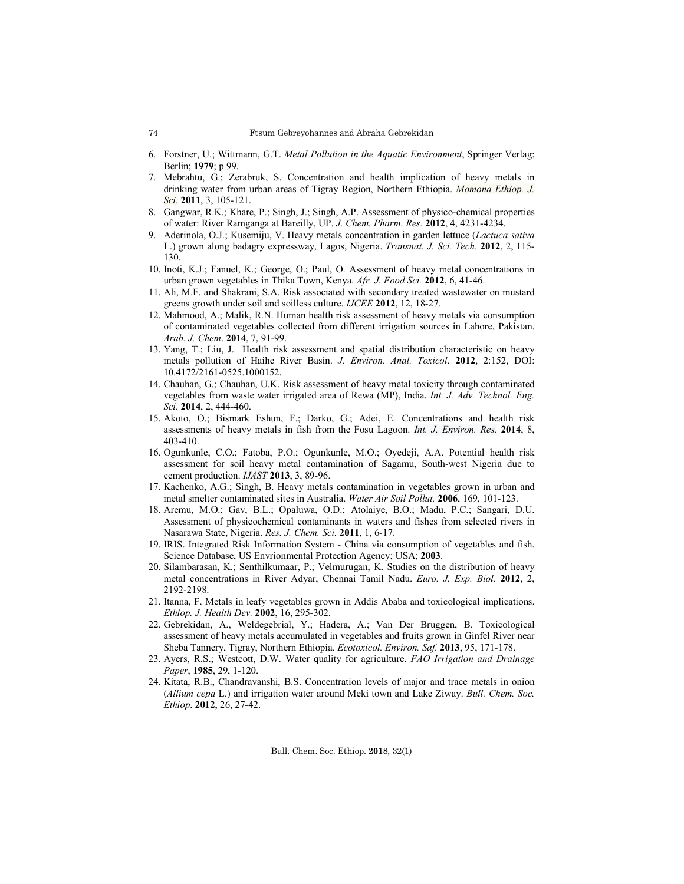- 6. Forstner, U.; Wittmann, G.T. *Metal Pollution in the Aquatic Environment*, Springer Verlag: Berlin; **1979**; p 99.
- 7. Mebrahtu, G.; Zerabruk, S. Concentration and health implication of heavy metals in drinking water from urban areas of Tigray Region, Northern Ethiopia. *Momona Ethiop. J. Sci.* **2011**, 3, 105-121.
- 8. Gangwar, R.K.; Khare, P.; Singh, J.; Singh, A.P. Assessment of physico-chemical properties of water: River Ramganga at Bareilly, UP. *J. Chem. Pharm. Res.* **2012**, 4, 4231-4234.
- 9. Aderinola, O.J.; Kusemiju, V. Heavy metals concentration in garden lettuce (*Lactuca sativa* L.) grown along badagry expressway, Lagos, Nigeria. *Transnat. J. Sci. Tech.* **2012**, 2, 115- 130.
- 10. Inoti, K.J.; Fanuel, K.; George, O.; Paul, O. Assessment of heavy metal concentrations in urban grown vegetables in Thika Town, Kenya. *Afr. J. Food Sci.* **2012**, 6, 41-46.
- 11. Ali, M.F. and Shakrani, S.A. Risk associated with secondary treated wastewater on mustard greens growth under soil and soilless culture. *IJCEE* **2012**, 12, 18-27.
- 12. Mahmood, A.; Malik, R.N. Human health risk assessment of heavy metals via consumption of contaminated vegetables collected from different irrigation sources in Lahore, Pakistan. *Arab. J. Chem*. **2014**, 7, 91-99.
- 13. Yang, T.; Liu, J. Health risk assessment and spatial distribution characteristic on heavy metals pollution of Haihe River Basin. *J. Environ. Anal. Toxicol*. **2012**, 2:152, DOI: 10.4172/2161-0525.1000152.
- 14. Chauhan, G.; Chauhan, U.K. Risk assessment of heavy metal toxicity through contaminated vegetables from waste water irrigated area of Rewa (MP), India. *Int. J. Adv. Technol. Eng. Sci.* **2014**, 2, 444-460.
- 15. Akoto, O.; Bismark Eshun, F.; Darko, G.; Adei, E. Concentrations and health risk assessments of heavy metals in fish from the Fosu Lagoon. *Int. J. Environ. Res.* **2014**, 8, 403-410.
- 16. Ogunkunle, C.O.; Fatoba, P.O.; Ogunkunle, M.O.; Oyedeji, A.A. Potential health risk assessment for soil heavy metal contamination of Sagamu, South-west Nigeria due to cement production. *IJAST* **2013**, 3, 89-96.
- 17. Kachenko, A.G.; Singh, B. Heavy metals contamination in vegetables grown in urban and metal smelter contaminated sites in Australia. *Water Air Soil Pollut.* **2006**, 169, 101-123.
- 18. Aremu, M.O.; Gav, B.L.; Opaluwa, O.D.; Atolaiye, B.O.; Madu, P.C.; Sangari, D.U. Assessment of physicochemical contaminants in waters and fishes from selected rivers in Nasarawa State, Nigeria. *Res. J. Chem. Sci.* **2011**, 1, 6-17.
- 19. IRIS. Integrated Risk Information System China via consumption of vegetables and fish. Science Database, US Envrionmental Protection Agency; USA; **2003**.
- 20. Silambarasan, K.; Senthilkumaar, P.; Velmurugan, K. Studies on the distribution of heavy metal concentrations in River Adyar, Chennai Tamil Nadu. *Euro. J. Exp. Biol.* **2012**, 2, 2192-2198.
- 21. Itanna, F. Metals in leafy vegetables grown in Addis Ababa and toxicological implications. *Ethiop. J. Health Dev.* **2002**, 16, 295-302.
- 22. Gebrekidan, A., Weldegebrial, Y.; Hadera, A.; Van Der Bruggen, B. Toxicological assessment of heavy metals accumulated in vegetables and fruits grown in Ginfel River near Sheba Tannery, Tigray, Northern Ethiopia. *Ecotoxicol. Environ. Saf.* **2013**, 95, 171-178.
- 23. Ayers, R.S.; Westcott, D.W. Water quality for agriculture. *FAO Irrigation and Drainage Paper*, **1985**, 29, 1-120.
- 24. Kitata, R.B., Chandravanshi, B.S. Concentration levels of major and trace metals in onion (*Allium cepa* L.) and irrigation water around Meki town and Lake Ziway. *Bull. Chem. Soc. Ethiop*. **2012**, 26, 27-42.

Bull. Chem. Soc. Ethiop. **2018**, 32(1)

74